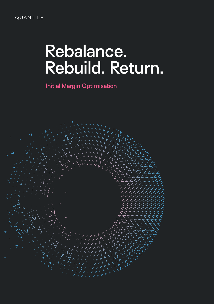### **QUANTILE**

# **Rebalance. Rebuild. Return.**

**Initial Margin Optimisation**

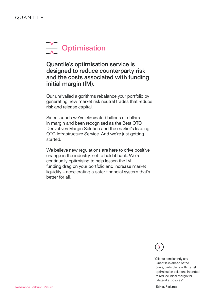# **V** Optimisation

**Quantile's optimisation service is designed to reduce counterparty risk and the costs associated with funding initial margin (IM).** 

Our unrivalled algorithms rebalance your portfolio by generating new market risk neutral trades that reduce risk and release capital.

Since launch we've eliminated billions of dollars in margin and been recognised as the Best OTC Derivatives Margin Solution and the market's leading OTC Infrastructure Service. And we're just getting started.

We believe new regulations are here to drive positive change in the industry, not to hold it back. We're continually optimising to help lessen the IM funding drag on your portfolio and increase market liquidity - accelerating a safer financial system that's better for all.

"Clients consistently say Quantile is ahead of the curve, particularly with its risk optimisation solutions intended to reduce initial margin for bilateral exposures."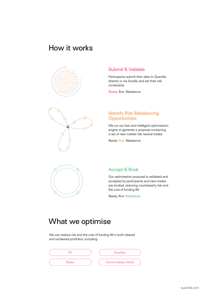# **How it works**





#### **Submit & Validate**

Participants submit their data to Quantile directly or via Acadia and set their risk constraints.

**Ready.** Run. Rebalance.

#### **Identify Risk Rebalancing Opportunities**

We run our fast and intelligent optimisation engine to generate a proposal containing a set of new market risk neutral trades.

Ready. **Run.** Rebalance.



#### **Accept & Book**

Our optimisation proposal is validated and accepted by participants and new trades are booked, reducing counterparty risk and the cost of funding IM.

Ready. Run. **Rebalance.**

# **What we optimise**

We can reduce risk and the cost of funding IM in both cleared and uncleared portfolios, including: